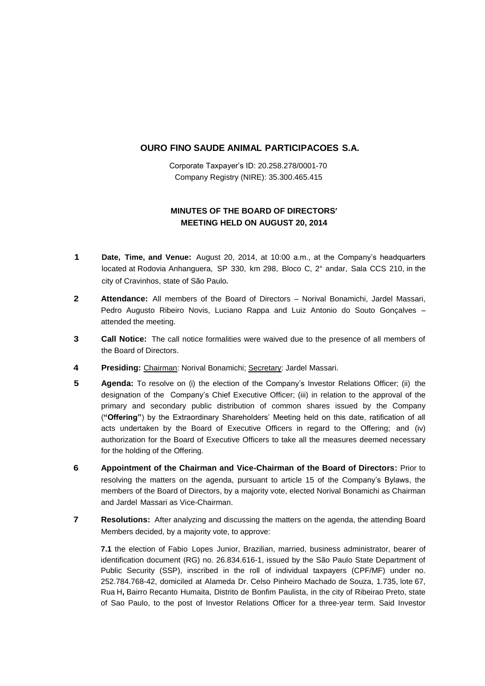## **OURO FINO SAUDE ANIMAL PARTICIPACOES S.A.**

Corporate Taxpayer's ID: 20.258.278/0001-70 Company Registry (NIRE): 35.300.465.415

## **MINUTES OF THE BOARD OF DIRECTORS' MEETING HELD ON AUGUST 20, 2014**

- **1 Date, Time, and Venue:** August 20, 2014, at 10:00 a.m., at the Company's headquarters located at Rodovia Anhanguera, SP 330, km 298, Bloco C, 2° andar, Sala CCS 210, in the city of Cravinhos, state of São Paulo.
- **2 Attendance:** All members of the Board of Directors Norival Bonamichi, Jardel Massari, Pedro Augusto Ribeiro Novis, Luciano Rappa and Luiz Antonio do Souto Gonçalves – attended the meeting.
- **3 Call Notice:** The call notice formalities were waived due to the presence of all members of the Board of Directors.
- **4 Presiding:** Chairman: Norival Bonamichi; Secretary: Jardel Massari.
- **5 Agenda:** To resolve on (i) the election of the Company's Investor Relations Officer; (ii) the designation of the Company's Chief Executive Officer; (iii) in relation to the approval of the primary and secondary public distribution of common shares issued by the Company (**"Offering"**) by the Extraordinary Shareholders' Meeting held on this date, ratification of all acts undertaken by the Board of Executive Officers in regard to the Offering; and (iv) authorization for the Board of Executive Officers to take all the measures deemed necessary for the holding of the Offering.
- **6 Appointment of the Chairman and Vice-Chairman of the Board of Directors:** Prior to resolving the matters on the agenda, pursuant to article 15 of the Company's Bylaws, the members of the Board of Directors, by a majority vote, elected Norival Bonamichi as Chairman and Jardel Massari as Vice-Chairman.
- **7 Resolutions:** After analyzing and discussing the matters on the agenda, the attending Board Members decided, by a majority vote, to approve:

**7.1** the election of Fabio Lopes Junior, Brazilian, married, business administrator, bearer of identification document (RG) no. 26.834.616-1, issued by the São Paulo State Department of Public Security (SSP), inscribed in the roll of individual taxpayers (CPF/MF) under no. 252.784.768-42, domiciled at Alameda Dr. Celso Pinheiro Machado de Souza, 1.735, lote 67, Rua H**,** Bairro Recanto Humaita, Distrito de Bonfim Paulista, in the city of Ribeirao Preto, state of Sao Paulo, to the post of Investor Relations Officer for a three-year term. Said Investor